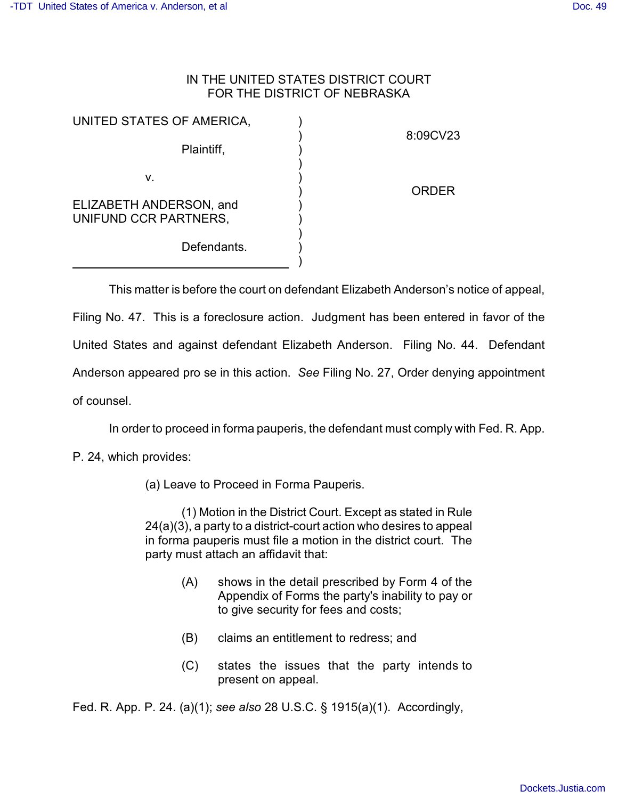## IN THE UNITED STATES DISTRICT COURT FOR THE DISTRICT OF NEBRASKA

| UNITED STATES OF AMERICA,                              |              |
|--------------------------------------------------------|--------------|
| Plaintiff,                                             | 8:09CV23     |
| v.<br>ELIZABETH ANDERSON, and<br>UNIFUND CCR PARTNERS, | <b>ORDER</b> |
| Defendants.                                            |              |

This matter is before the court on defendant Elizabeth Anderson's notice of appeal,

Filing No. 47. This is a foreclosure action. Judgment has been entered in favor of the United States and against defendant Elizabeth Anderson. Filing No. 44. Defendant Anderson appeared pro se in this action. *See* Filing No. 27, Order denying appointment of counsel.

In order to proceed in forma pauperis, the defendant must comply with Fed. R. App.

P. 24, which provides:

(a) Leave to Proceed in Forma Pauperis.

(1) Motion in the District Court. Except as stated in Rule 24(a)(3), a party to a district-court action who desires to appeal in forma pauperis must file a motion in the district court. The party must attach an affidavit that:

- (A) shows in the detail prescribed by Form 4 of the Appendix of Forms the party's inability to pay or to give security for fees and costs;
- (B) claims an entitlement to redress; and
- (C) states the issues that the party intends to present on appeal.

Fed. R. App. P. 24. (a)(1); *see also* 28 U.S.C. § 1915(a)(1). Accordingly,